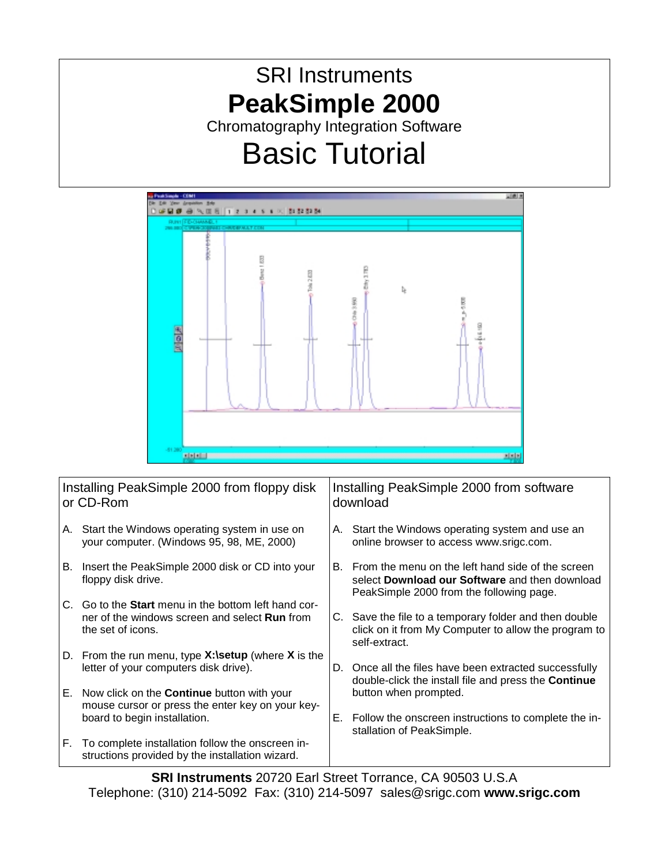# SRI Instruments **PeakSimple 2000**  Chromatography Integration Software

# Basic Tutorial



| Installing PeakSimple 2000 from floppy disk<br>or CD-Rom |                                                                                                                                          | Installing PeakSimple 2000 from software<br>download |                                                                                                                                                 |
|----------------------------------------------------------|------------------------------------------------------------------------------------------------------------------------------------------|------------------------------------------------------|-------------------------------------------------------------------------------------------------------------------------------------------------|
|                                                          | A. Start the Windows operating system in use on<br>your computer. (Windows 95, 98, ME, 2000)                                             |                                                      | A. Start the Windows operating system and use an<br>online browser to access www.srigc.com.                                                     |
|                                                          | B. Insert the PeakSimple 2000 disk or CD into your<br>floppy disk drive.                                                                 | B.                                                   | From the menu on the left hand side of the screen<br>select Download our Software and then download<br>PeakSimple 2000 from the following page. |
|                                                          | C. Go to the <b>Start</b> menu in the bottom left hand cor-<br>ner of the windows screen and select <b>Run</b> from<br>the set of icons. |                                                      | C. Save the file to a temporary folder and then double<br>click on it from My Computer to allow the program to<br>self-extract.                 |
|                                                          | D. From the run menu, type $X:\setminus$ setup (where X is the<br>letter of your computers disk drive).                                  |                                                      | D. Once all the files have been extracted successfully<br>double-click the install file and press the Continue                                  |
|                                                          | E. Now click on the <b>Continue</b> button with your<br>mouse cursor or press the enter key on your key-                                 |                                                      | button when prompted.                                                                                                                           |
|                                                          | board to begin installation.                                                                                                             | Е.                                                   | Follow the onscreen instructions to complete the in-<br>stallation of PeakSimple.                                                               |
| F.                                                       | To complete installation follow the onscreen in-<br>structions provided by the installation wizard.                                      |                                                      |                                                                                                                                                 |

**SRI Instruments** 20720 Earl Street Torrance, CA 90503 U.S.A Telephone: (310) 214-5092 Fax: (310) 214-5097 sales@srigc.com **www.srigc.com**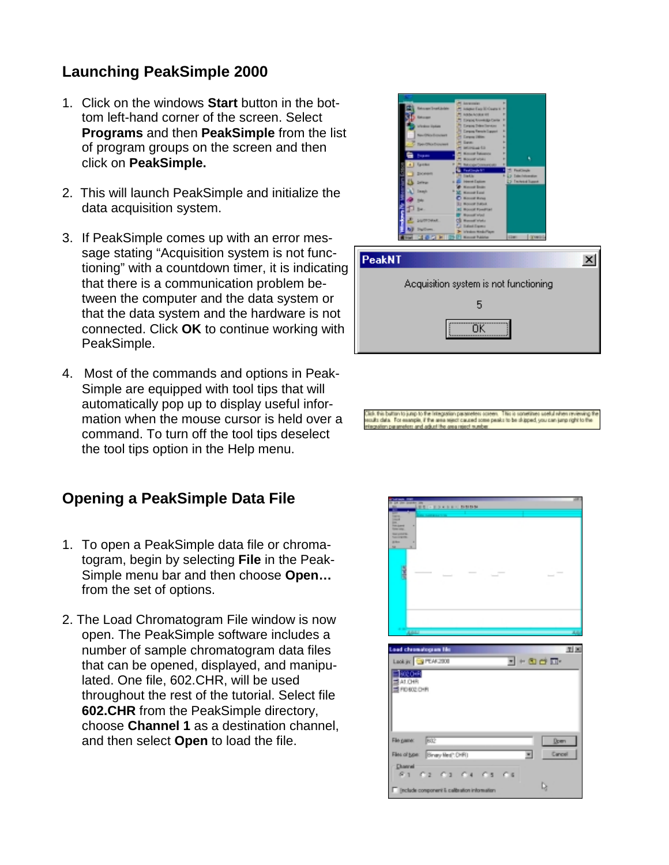#### **Launching PeakSimple 2000**

- 1. Click on the windows **Start** button in the bottom left-hand corner of the screen. Select **Programs** and then **PeakSimple** from the list of program groups on the screen and then click on **PeakSimple.**
- 2. This will launch PeakSimple and initialize the data acquisition system.
- 3. If PeakSimple comes up with an error message stating "Acquisition system is not functioning" with a countdown timer, it is indicating that there is a communication problem between the computer and the data system or that the data system and the hardware is not connected. Click **OK** to continue working with PeakSimple.
- 4. Most of the commands and options in Peak-Simple are equipped with tool tips that will automatically pop up to display useful information when the mouse cursor is held over a command. To turn off the tool tips deselect the tool tips option in the Help menu.

#### **Opening a PeakSimple Data File**

- 1. To open a PeakSimple data file or chromatogram, begin by selecting **File** in the Peak-Simple menu bar and then choose **Open…** from the set of options.
- 2. The Load Chromatogram File window is now open. The PeakSimple software includes a number of sample chromatogram data files that can be opened, displayed, and manipulated. One file, 602.CHR, will be used throughout the rest of the tutorial. Select file **602.CHR** from the PeakSimple directory, choose **Channel 1** as a destination channel, and then select **Open** to load the file.



| <b>PeakNT</b>                         |  |  |  |  |  |
|---------------------------------------|--|--|--|--|--|
| Acquisition system is not functioning |  |  |  |  |  |
|                                       |  |  |  |  |  |
|                                       |  |  |  |  |  |

ials this button to jurisp to the integration parameters obseen. This is sometimes soeltal rifries reviewing<br>suits claim. The example, if the area reject caused some peaks to be skipped, you can jurisp right to th

| ÷<br><b>BEI-FRANKS BRBB</b>                                                                                                                                                                                                       | . . |
|-----------------------------------------------------------------------------------------------------------------------------------------------------------------------------------------------------------------------------------|-----|
| P<br>--<br><b>LIGHTS</b><br>and the tree.<br>--<br>u<br><b>B</b>                                                                                                                                                                  |     |
| 4444                                                                                                                                                                                                                              |     |
|                                                                                                                                                                                                                                   |     |
| <b>Load chronologram film</b><br>国区<br>Laok jv: 3 PEAK2000<br>$- + 0 + \nabla$<br>602 OHR<br>ALCHB<br>FID BOZ CHR                                                                                                                 |     |
| 阪<br>File game:<br>Down<br>Binay Red: DHR)<br>Cancell<br>Files of bow:<br>$\blacksquare$<br><b>Diservel</b><br>61<br>$C_6$<br>C <sub>2</sub><br><b>CD</b><br><b>CB</b><br>r<br>ı,<br>(rolude component & calibration information) |     |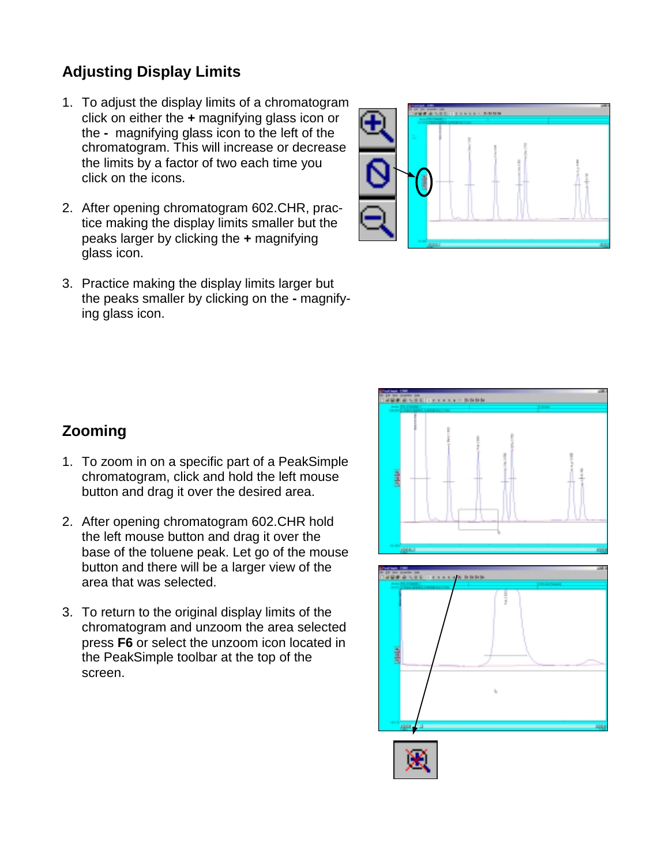## **Adjusting Display Limits**

- 1. To adjust the display limits of a chromatogram click on either the **+** magnifying glass icon or the **-** magnifying glass icon to the left of the chromatogram. This will increase or decrease the limits by a factor of two each time you click on the icons.
- 2. After opening chromatogram 602.CHR, practice making the display limits smaller but the peaks larger by clicking the **+** magnifying glass icon.
- 3. Practice making the display limits larger but the peaks smaller by clicking on the **-** magnifying glass icon.



## **Zooming**

- 1. To zoom in on a specific part of a PeakSimple chromatogram, click and hold the left mouse button and drag it over the desired area.
- 2. After opening chromatogram 602.CHR hold the left mouse button and drag it over the base of the toluene peak. Let go of the mouse button and there will be a larger view of the area that was selected.
- 3. To return to the original display limits of the chromatogram and unzoom the area selected press **F6** or select the unzoom icon located in the PeakSimple toolbar at the top of the screen.



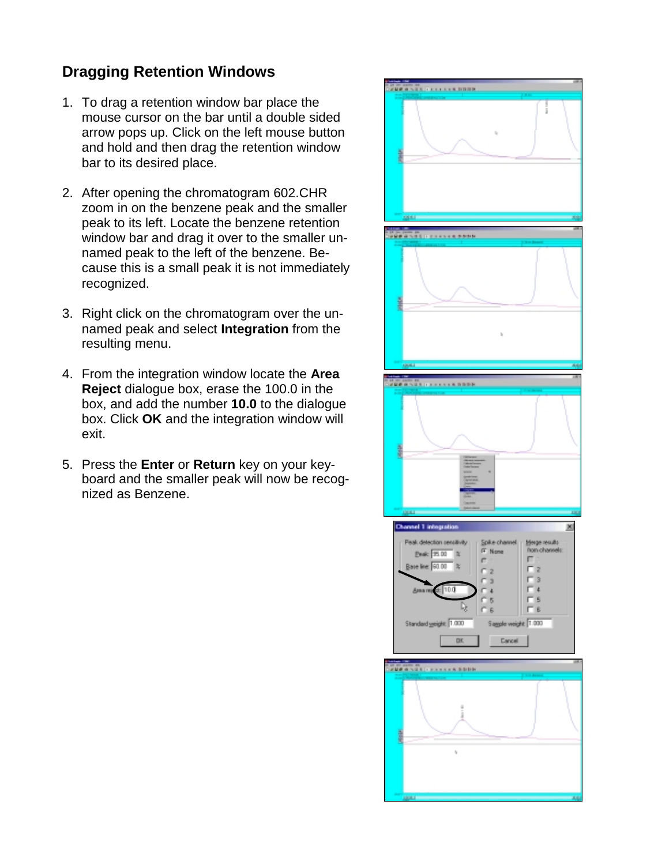#### **Dragging Retention Windows**

- 1. To drag a retention window bar place the mouse cursor on the bar until a double sided arrow pops up. Click on the left mouse button and hold and then drag the retention window bar to its desired place.
- 2. After opening the chromatogram 602.CHR zoom in on the benzene peak and the smaller peak to its left. Locate the benzene retention window bar and drag it over to the smaller unnamed peak to the left of the benzene. Because this is a small peak it is not immediately recognized.
- 3. Right click on the chromatogram over the unnamed peak and select **Integration** from the resulting menu.
- 4. From the integration window locate the **Area Reject** dialogue box, erase the 100.0 in the box, and add the number **10.0** to the dialogue box. Click **OK** and the integration window will exit.
- 5. Press the **Enter** or **Return** key on your keyboard and the smaller peak will now be recognized as Benzene.

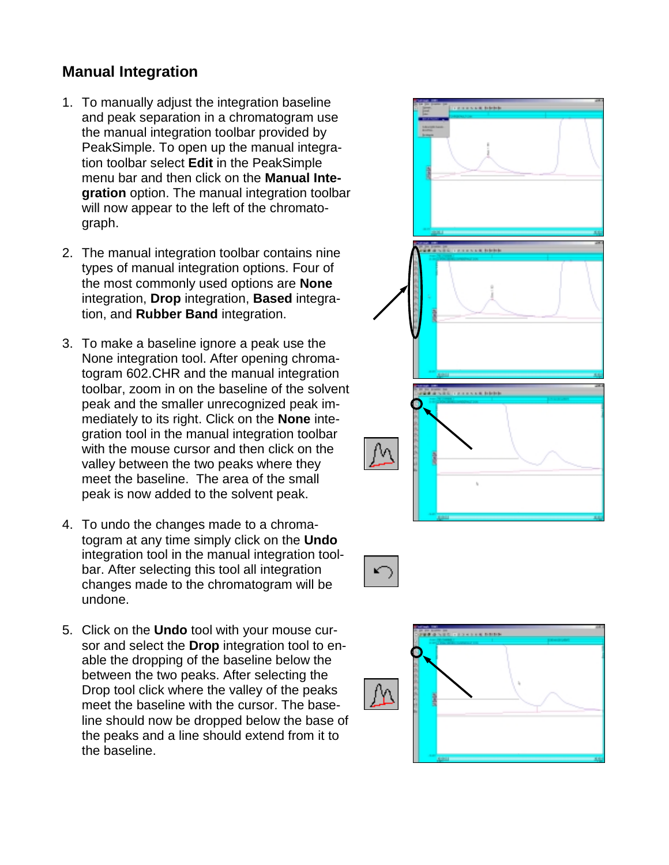#### **Manual Integration**

- 1. To manually adjust the integration baseline and peak separation in a chromatogram use the manual integration toolbar provided by PeakSimple. To open up the manual integration toolbar select **Edit** in the PeakSimple menu bar and then click on the **Manual Integration** option. The manual integration toolbar will now appear to the left of the chromatograph.
- 2. The manual integration toolbar contains nine types of manual integration options. Four of the most commonly used options are **None** integration, **Drop** integration, **Based** integration, and **Rubber Band** integration.
- 3. To make a baseline ignore a peak use the None integration tool. After opening chromatogram 602.CHR and the manual integration toolbar, zoom in on the baseline of the solvent peak and the smaller unrecognized peak immediately to its right. Click on the **None** integration tool in the manual integration toolbar with the mouse cursor and then click on the valley between the two peaks where they meet the baseline. The area of the small peak is now added to the solvent peak.
- 4. To undo the changes made to a chromatogram at any time simply click on the **Undo** integration tool in the manual integration toolbar. After selecting this tool all integration changes made to the chromatogram will be undone.
- 5. Click on the **Undo** tool with your mouse cursor and select the **Drop** integration tool to enable the dropping of the baseline below the between the two peaks. After selecting the Drop tool click where the valley of the peaks meet the baseline with the cursor. The baseline should now be dropped below the base of the peaks and a line should extend from it to the baseline.



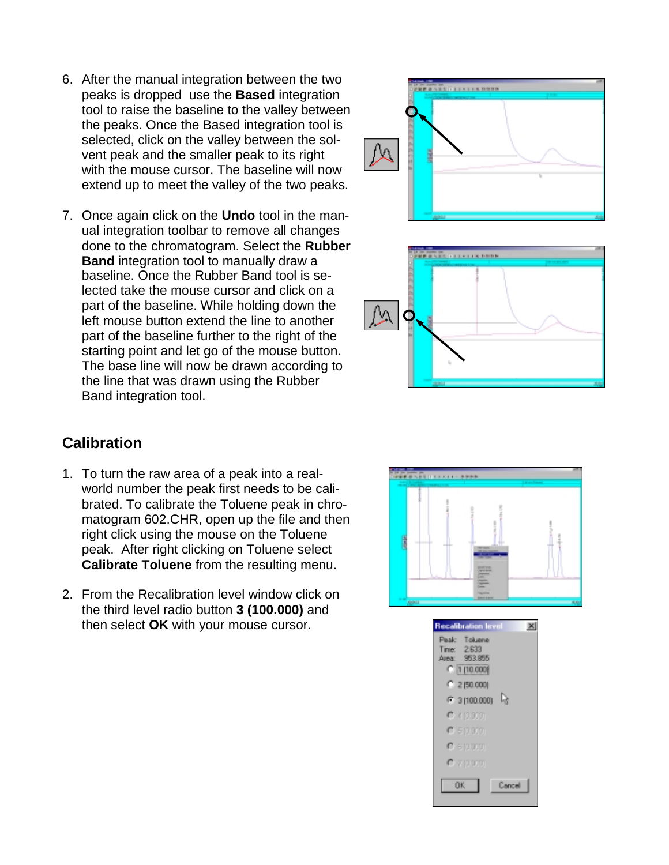- 6. After the manual integration between the two peaks is dropped use the **Based** integration tool to raise the baseline to the valley between the peaks. Once the Based integration tool is selected, click on the valley between the solvent peak and the smaller peak to its right with the mouse cursor. The baseline will now extend up to meet the valley of the two peaks.
- 7. Once again click on the **Undo** tool in the manual integration toolbar to remove all changes done to the chromatogram. Select the **Rubber Band** integration tool to manually draw a baseline. Once the Rubber Band tool is selected take the mouse cursor and click on a part of the baseline. While holding down the left mouse button extend the line to another part of the baseline further to the right of the starting point and let go of the mouse button. The base line will now be drawn according to the line that was drawn using the Rubber Band integration tool.

#### **Calibration**

- 1. To turn the raw area of a peak into a realworld number the peak first needs to be calibrated. To calibrate the Toluene peak in chromatogram 602.CHR, open up the file and then right click using the mouse on the Toluene peak. After right clicking on Toluene select **Calibrate Toluene** from the resulting menu.
- 2. From the Recalibration level window click on the third level radio button **3 (100.000)** and then select **OK** with your mouse cursor.







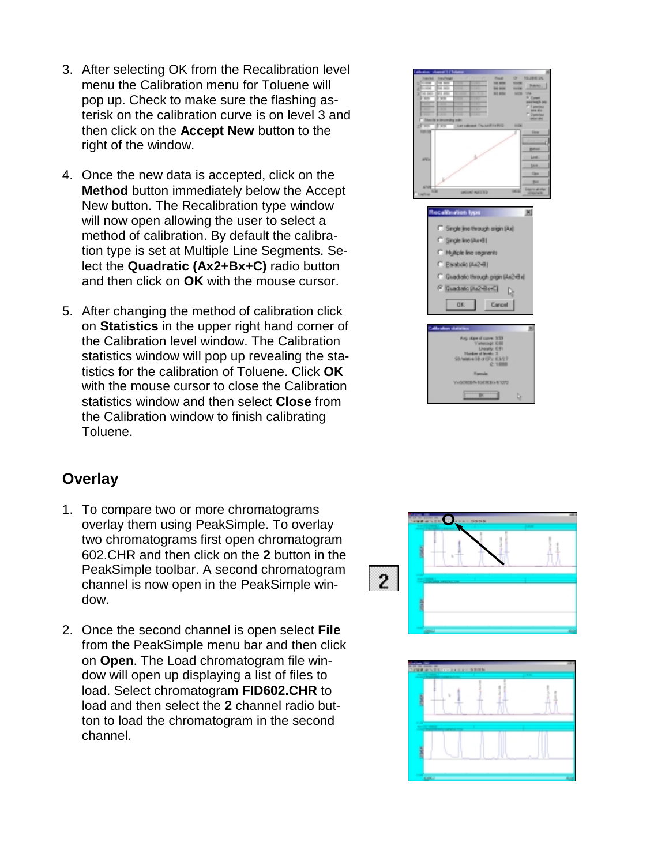- 3. After selecting OK from the Recalibration level menu the Calibration menu for Toluene will pop up. Check to make sure the flashing asterisk on the calibration curve is on level 3 and then click on the **Accept New** button to the right of the window.
- 4. Once the new data is accepted, click on the **Method** button immediately below the Accept New button. The Recalibration type window will now open allowing the user to select a method of calibration. By default the calibration type is set at Multiple Line Segments. Select the **Quadratic (Ax2+Bx+C)** radio button and then click on **OK** with the mouse cursor.
- 5. After changing the method of calibration click on **Statistics** in the upper right hand corner of the Calibration level window. The Calibration statistics window will pop up revealing the statistics for the calibration of Toluene. Click **OK** with the mouse cursor to close the Calibration statistics window and then select **Close** from the Calibration window to finish calibrating Toluene.

#### **Overlay**

- 1. To compare two or more chromatograms overlay them using PeakSimple. To overlay two chromatograms first open chromatogram 602.CHR and then click on the **2** button in the PeakSimple toolbar. A second chromatogram channel is now open in the PeakSimple window.
- 2. Once the second channel is open select **File** from the PeakSimple menu bar and then click on **Open**. The Load chromatogram file window will open up displaying a list of files to load. Select chromatogram **FID602.CHR** to load and then select the **2** channel radio button to load the chromatogram in the second channel.





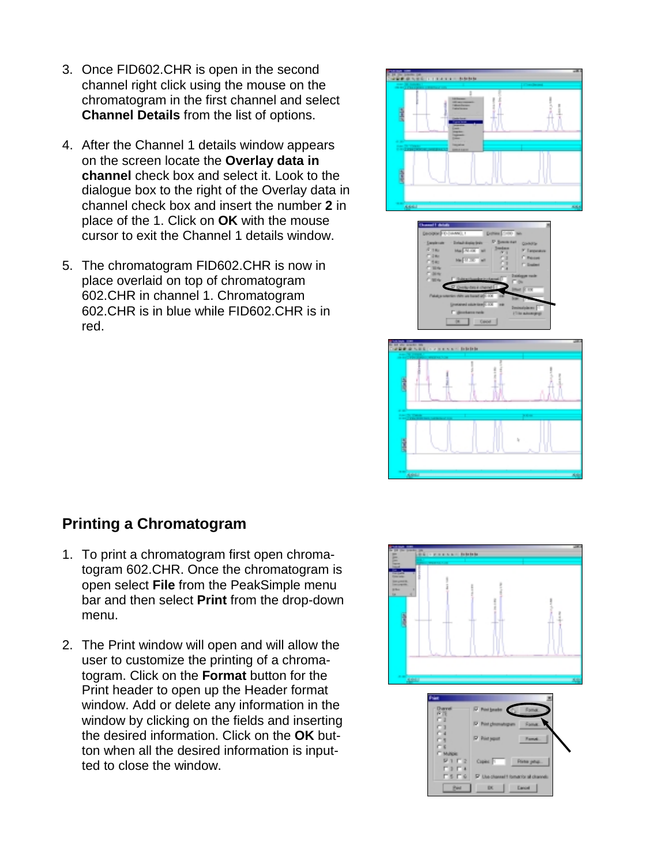- 3. Once FID602.CHR is open in the second channel right click using the mouse on the chromatogram in the first channel and select **Channel Details** from the list of options.
- 4. After the Channel 1 details window appears on the screen locate the **Overlay data in channel** check box and select it. Look to the dialogue box to the right of the Overlay data in channel check box and insert the number **2** in place of the 1. Click on **OK** with the mouse cursor to exit the Channel 1 details window.
- 5. The chromatogram FID602.CHR is now in place overlaid on top of chromatogram 602.CHR in channel 1. Chromatogram 602.CHR is in blue while FID602.CHR is in red.



#### **Printing a Chromatogram**

- 1. To print a chromatogram first open chromatogram 602.CHR. Once the chromatogram is open select **File** from the PeakSimple menu bar and then select **Print** from the drop-down menu.
- 2. The Print window will open and will allow the user to customize the printing of a chromatogram. Click on the **Format** button for the Print header to open up the Header format window. Add or delete any information in the window by clicking on the fields and inserting the desired information. Click on the **OK** button when all the desired information is inputted to close the window.



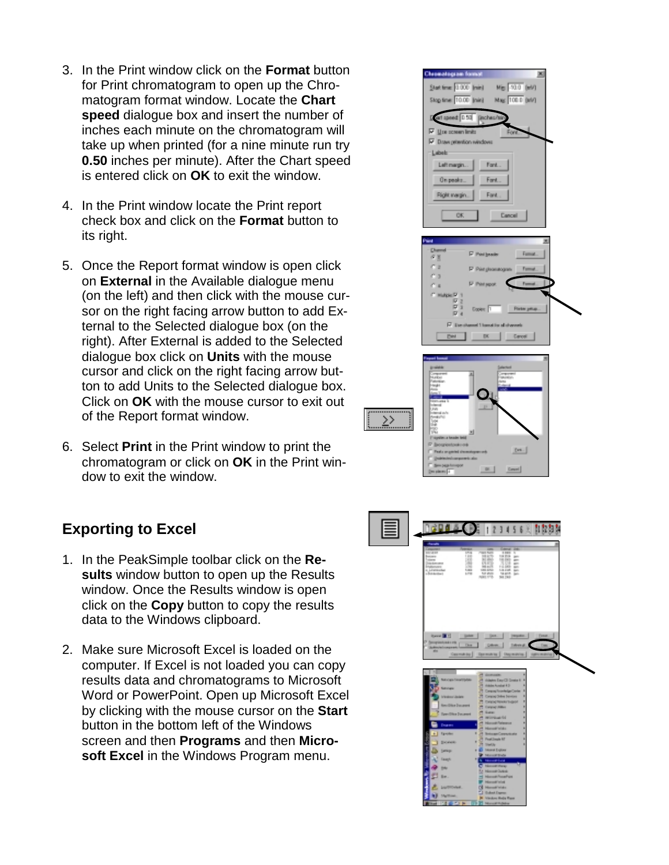- 3. In the Print window click on the **Format** button for Print chromatogram to open up the Chromatogram format window. Locate the **Chart speed** dialogue box and insert the number of inches each minute on the chromatogram will take up when printed (for a nine minute run try **0.50** inches per minute). After the Chart speed is entered click on **OK** to exit the window.
- 4. In the Print window locate the Print report check box and click on the **Format** button to its right.
- 5. Once the Report format window is open click on **External** in the Available dialogue menu (on the left) and then click with the mouse cursor on the right facing arrow button to add External to the Selected dialogue box (on the right). After External is added to the Selected dialogue box click on **Units** with the mouse cursor and click on the right facing arrow button to add Units to the Selected dialogue box. Click on **OK** with the mouse cursor to exit out of the Report format window.
- 6. Select **Print** in the Print window to print the chromatogram or click on **OK** in the Print window to exit the window.

#### **Exporting to Excel**

- 1. In the PeakSimple toolbar click on the **Results** window button to open up the Results window. Once the Results window is open click on the **Copy** button to copy the results data to the Windows clipboard.
- 2. Make sure Microsoft Excel is loaded on the computer. If Excel is not loaded you can copy results data and chromatograms to Microsoft Word or PowerPoint. Open up Microsoft Excel by clicking with the mouse cursor on the **Start**  button in the bottom left of the Windows screen and then **Programs** and then **Microsoft Excel** in the Windows Program menu.